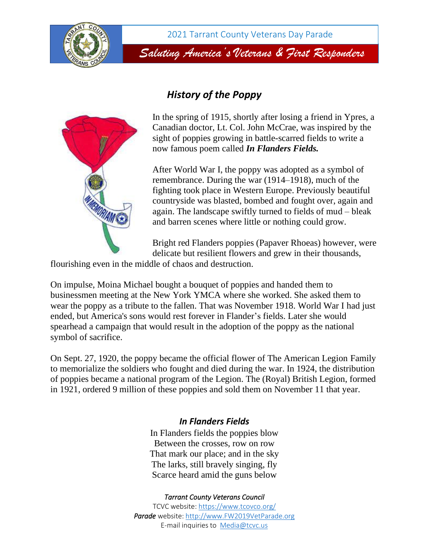

*Saluting America's Veterans & First Responders*

## *History of the Poppy*



In the spring of 1915, shortly after losing a friend in Ypres, a Canadian doctor, Lt. Col. John McCrae, was inspired by the sight of poppies growing in battle-scarred fields to write a now famous poem called *In Flanders Fields.*

After World War I, the poppy was adopted as a symbol of remembrance. During the war (1914–1918), much of the fighting took place in Western Europe. Previously beautiful countryside was blasted, bombed and fought over, again and again. The landscape swiftly turned to fields of mud – bleak and barren scenes where little or nothing could grow.

Bright red Flanders poppies (Papaver Rhoeas) however, were delicate but resilient flowers and grew in their thousands,

flourishing even in the middle of chaos and destruction.

On impulse, Moina Michael bought a bouquet of poppies and handed them to businessmen meeting at the New York YMCA where she worked. She asked them to wear the poppy as a tribute to the fallen. That was November 1918. World War I had just ended, but America's sons would rest forever in Flander's fields. Later she would spearhead a campaign that would result in the adoption of the poppy as the national symbol of sacrifice.

On Sept. 27, 1920, the poppy became the official flower of The American Legion Family to memorialize the soldiers who fought and died during the war. In 1924, the distribution of poppies became a national program of the Legion. The (Royal) British Legion, formed in 1921, ordered 9 million of these poppies and sold them on November 11 that year.

## *In Flanders Fields*

In Flanders fields the poppies blow Between the crosses, row on row That mark our place; and in the sky The larks, still bravely singing, fly Scarce heard amid the guns below

## *Tarrant County Veterans Council*

TCVC website[: https://www.tcovco.org/](https://www.tcovco.org/) *Parade* website: [http://www.FW2019VetP](http://www.fw2019vet/)arade.org E-mail inquiries to [Media@tcvc.us](mailto:Media@tcvc.us)